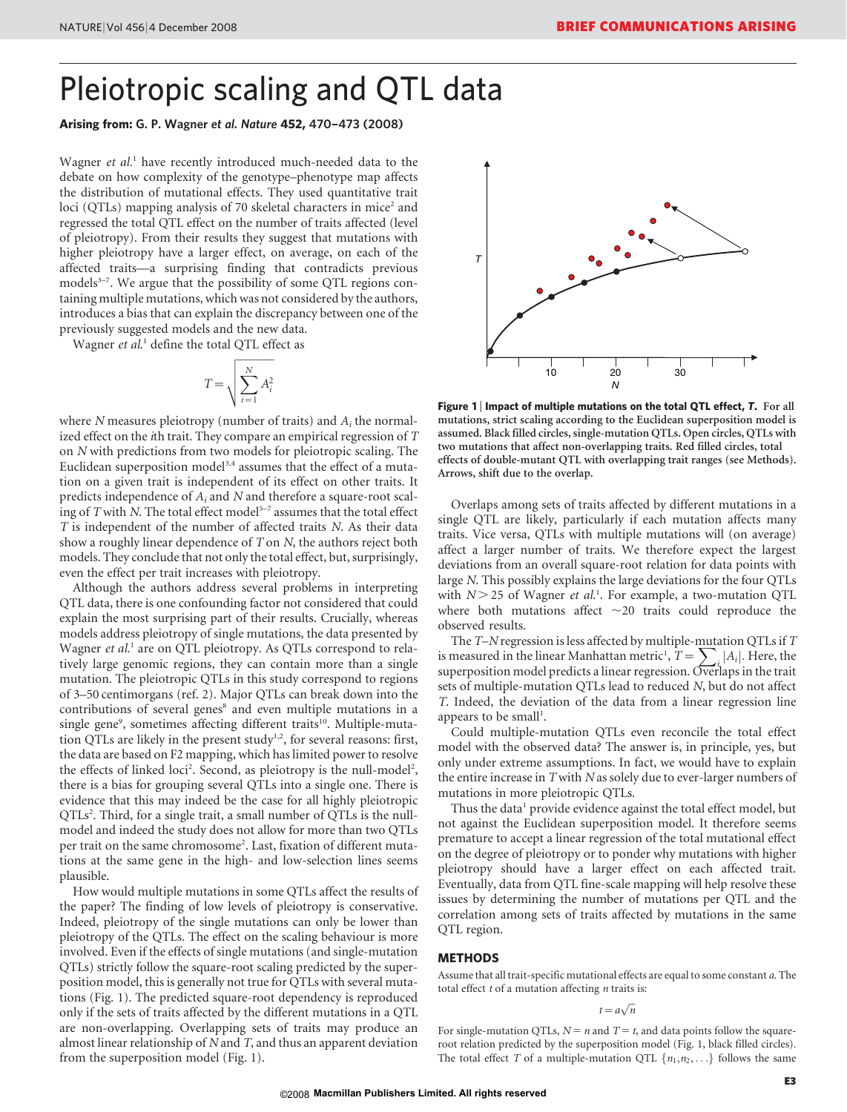## Pleiotropic scaling and QTL data

### Arising from: G. P. Wagner et al. Nature 452, 470–473 (2008)

Wagner et al.<sup>1</sup> have recently introduced much-needed data to the debate on how complexity of the genotype–phenotype map affects the distribution of mutational effects. They used quantitative trait loci (QTLs) mapping analysis of 70 skeletal characters in mice<sup>2</sup> and regressed the total QTL effect on the number of traits affected (level of pleiotropy). From their results they suggest that mutations with higher pleiotropy have a larger effect, on average, on each of the affected traits—a surprising finding that contradicts previous models<sup>3-7</sup>. We argue that the possibility of some QTL regions containing multiple mutations, which was not considered by the authors, introduces a bias that can explain the discrepancy between one of the previously suggested models and the new data.

Wagner et al.<sup>1</sup> define the total OTL effect as

$$
T = \sqrt{\sum_{i=1}^{N} A_i^2}
$$

where  $N$  measures pleiotropy (number of traits) and  $A_i$  the normalized effect on the ith trait. They compare an empirical regression of T on N with predictions from two models for pleiotropic scaling. The Euclidean superposition model<sup>3,4</sup> assumes that the effect of a mutation on a given trait is independent of its effect on other traits. It predicts independence of  $A_i$  and N and therefore a square-root scaling of T with N. The total effect model<sup>5-7</sup> assumes that the total effect T is independent of the number of affected traits N. As their data show a roughly linear dependence of T on N, the authors reject both models. They conclude that not only the total effect, but, surprisingly, even the effect per trait increases with pleiotropy.

Although the authors address several problems in interpreting QTL data, there is one confounding factor not considered that could explain the most surprising part of their results. Crucially, whereas models address pleiotropy of single mutations, the data presented by Wagner et al.<sup>1</sup> are on QTL pleiotropy. As QTLs correspond to relatively large genomic regions, they can contain more than a single mutation. The pleiotropic QTLs in this study correspond to regions of 3–50 centimorgans (ref. 2). Major QTLs can break down into the contributions of several genes<sup>8</sup> and even multiple mutations in a single gene<sup>9</sup>, sometimes affecting different traits<sup>10</sup>. Multiple-mutation QTLs are likely in the present study<sup>1,2</sup>, for several reasons: first, the data are based on F2 mapping, which has limited power to resolve the effects of linked loci<sup>2</sup>. Second, as pleiotropy is the null-model<sup>2</sup>, there is a bias for grouping several QTLs into a single one. There is evidence that this may indeed be the case for all highly pleiotropic QTLs<sup>2</sup>. Third, for a single trait, a small number of QTLs is the nullmodel and indeed the study does not allow for more than two QTLs per trait on the same chromosome<sup>2</sup>. Last, fixation of different mutations at the same gene in the high- and low-selection lines seems plausible.

How would multiple mutations in some QTLs affect the results of the paper? The finding of low levels of pleiotropy is conservative. Indeed, pleiotropy of the single mutations can only be lower than pleiotropy of the QTLs. The effect on the scaling behaviour is more involved. Even if the effects of single mutations (and single-mutation QTLs) strictly follow the square-root scaling predicted by the superposition model, this is generally not true for QTLs with several mutations (Fig. 1). The predicted square-root dependency is reproduced only if the sets of traits affected by the different mutations in a QTL are non-overlapping. Overlapping sets of traits may produce an almost linear relationship of  $N$  and  $T$ , and thus an apparent deviation from the superposition model (Fig. 1).



Figure 1 <sup>|</sup> Impact of multiple mutations on the total QTL effect, *T*. For all mutations, strict scaling according to the Euclidean superposition model is assumed. Black filled circles, single-mutation QTLs. Open circles, QTLs with two mutations that affect non-overlapping traits. Red filled circles, total effects of double-mutant QTL with overlapping trait ranges (see Methods). Arrows, shift due to the overlap.

Overlaps among sets of traits affected by different mutations in a single QTL are likely, particularly if each mutation affects many traits. Vice versa, QTLs with multiple mutations will (on average) affect a larger number of traits. We therefore expect the largest deviations from an overall square-root relation for data points with large N. This possibly explains the large deviations for the four QTLs with  $N$  > 25 of Wagner et al.<sup>1</sup>. For example, a two-mutation QTL where both mutations affect  $\sim$ 20 traits could reproduce the observed results.

The  $T-N$  regression is less affected by multiple-mutation QTLs if  $T$ is measured in the linear Manhattan metric<sup>1</sup>,  $T = \sum_{i} |A_i|$ . Here, the superposition model predicts a linear regression. Overlaps in the trait sets of multiple-mutation QTLs lead to reduced N, but do not affect T. Indeed, the deviation of the data from a linear regression line appears to be small<sup>1</sup>.

Could multiple-mutation QTLs even reconcile the total effect model with the observed data? The answer is, in principle, yes, but only under extreme assumptions. In fact, we would have to explain the entire increase in  $T$  with  $N$  as solely due to ever-larger numbers of mutations in more pleiotropic QTLs.

Thus the data<sup>1</sup> provide evidence against the total effect model, but not against the Euclidean superposition model. It therefore seems premature to accept a linear regression of the total mutational effect on the degree of pleiotropy or to ponder why mutations with higher pleiotropy should have a larger effect on each affected trait. Eventually, data from QTL fine-scale mapping will help resolve these issues by determining the number of mutations per QTL and the correlation among sets of traits affected by mutations in the same QTL region.

#### METHODS

Assume that all trait-specific mutational effects are equal to some constant a. The total effect  $t$  of a mutation affecting  $n$  traits is:

$$
t = a\sqrt{n}
$$

For single-mutation QTLs,  $N = n$  and  $T = t$ , and data points follow the squareroot relation predicted by the superposition model (Fig. 1, black filled circles). The total effect T of a multiple-mutation QTL  $\{n_1, n_2, \ldots\}$  follows the same